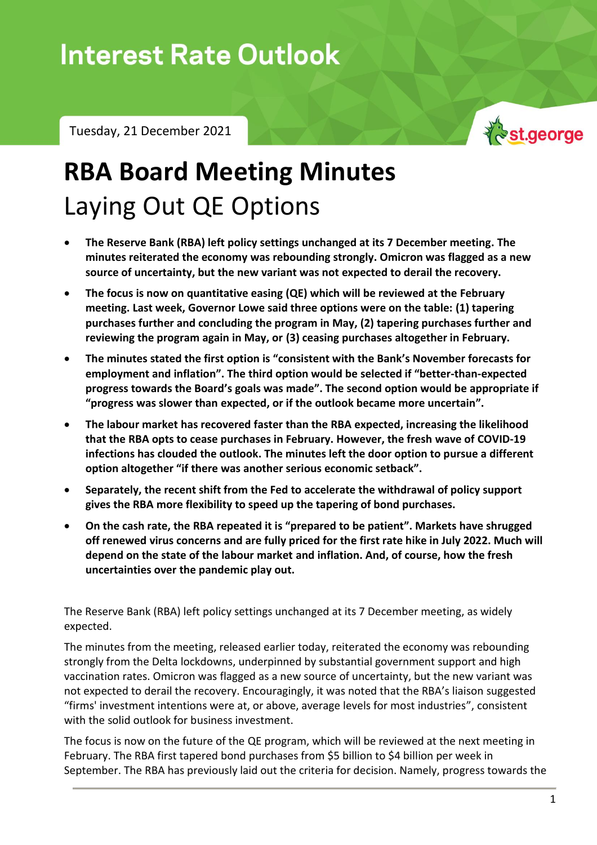## Data Snapshot – Tuesday, 21 December 2021

Tuesday, 21 December 2021



## **RBA Board Meeting Minutes** Laying Out QE Options

- **The Reserve Bank (RBA) left policy settings unchanged at its 7 December meeting. The minutes reiterated the economy was rebounding strongly. Omicron was flagged as a new source of uncertainty, but the new variant was not expected to derail the recovery.**
- **The focus is now on quantitative easing (QE) which will be reviewed at the February meeting. Last week, Governor Lowe said three options were on the table: (1) tapering purchases further and concluding the program in May, (2) tapering purchases further and reviewing the program again in May, or (3) ceasing purchases altogether in February.**
- **The minutes stated the first option is "consistent with the Bank's November forecasts for employment and inflation". The third option would be selected if "better-than-expected progress towards the Board's goals was made". The second option would be appropriate if "progress was slower than expected, or if the outlook became more uncertain".**
- **The labour market has recovered faster than the RBA expected, increasing the likelihood that the RBA opts to cease purchases in February. However, the fresh wave of COVID-19 infections has clouded the outlook. The minutes left the door option to pursue a different option altogether "if there was another serious economic setback".**
- **Separately, the recent shift from the Fed to accelerate the withdrawal of policy support gives the RBA more flexibility to speed up the tapering of bond purchases.**
- **On the cash rate, the RBA repeated it is "prepared to be patient". Markets have shrugged off renewed virus concerns and are fully priced for the first rate hike in July 2022. Much will depend on the state of the labour market and inflation. And, of course, how the fresh uncertainties over the pandemic play out.**

The Reserve Bank (RBA) left policy settings unchanged at its 7 December meeting, as widely expected.

The minutes from the meeting, released earlier today, reiterated the economy was rebounding strongly from the Delta lockdowns, underpinned by substantial government support and high vaccination rates. Omicron was flagged as a new source of uncertainty, but the new variant was not expected to derail the recovery. Encouragingly, it was noted that the RBA's liaison suggested "firms' investment intentions were at, or above, average levels for most industries", consistent with the solid outlook for business investment.

The focus is now on the future of the QE program, which will be reviewed at the next meeting in February. The RBA first tapered bond purchases from \$5 billion to \$4 billion per week in September. The RBA has previously laid out the criteria for decision. Namely, progress towards the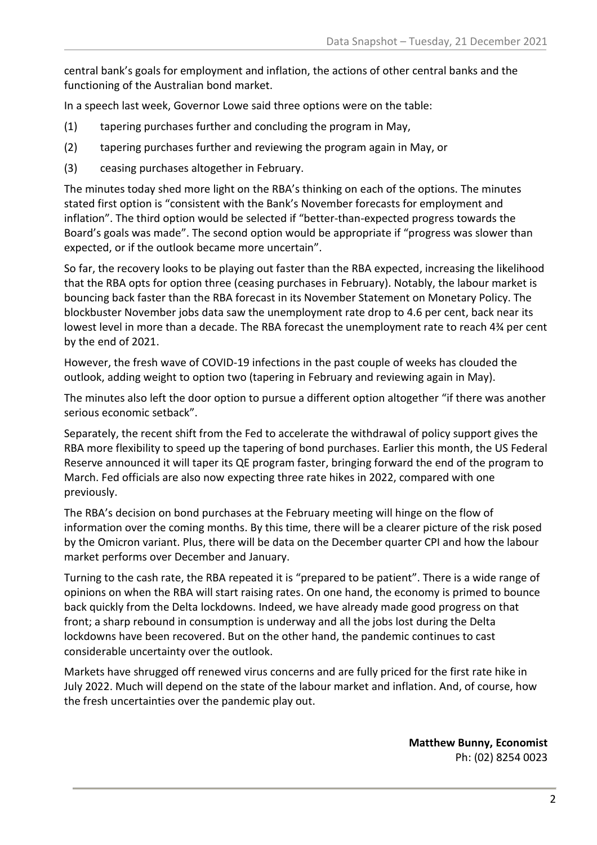central bank's goals for employment and inflation, the actions of other central banks and the functioning of the Australian bond market.

In a speech last week, Governor Lowe said three options were on the table:

- (1) tapering purchases further and concluding the program in May,
- (2) tapering purchases further and reviewing the program again in May, or
- (3) ceasing purchases altogether in February.

The minutes today shed more light on the RBA's thinking on each of the options. The minutes stated first option is "consistent with the Bank's November forecasts for employment and inflation". The third option would be selected if "better-than-expected progress towards the Board's goals was made". The second option would be appropriate if "progress was slower than expected, or if the outlook became more uncertain".

So far, the recovery looks to be playing out faster than the RBA expected, increasing the likelihood that the RBA opts for option three (ceasing purchases in February). Notably, the labour market is bouncing back faster than the RBA forecast in its November Statement on Monetary Policy. The blockbuster November jobs data saw the unemployment rate drop to 4.6 per cent, back near its lowest level in more than a decade. The RBA forecast the unemployment rate to reach 4¾ per cent by the end of 2021.

However, the fresh wave of COVID-19 infections in the past couple of weeks has clouded the outlook, adding weight to option two (tapering in February and reviewing again in May).

The minutes also left the door option to pursue a different option altogether "if there was another serious economic setback".

Separately, the recent shift from the Fed to accelerate the withdrawal of policy support gives the RBA more flexibility to speed up the tapering of bond purchases. Earlier this month, the US Federal Reserve announced it will taper its QE program faster, bringing forward the end of the program to March. Fed officials are also now expecting three rate hikes in 2022, compared with one previously.

The RBA's decision on bond purchases at the February meeting will hinge on the flow of information over the coming months. By this time, there will be a clearer picture of the risk posed by the Omicron variant. Plus, there will be data on the December quarter CPI and how the labour market performs over December and January.

Turning to the cash rate, the RBA repeated it is "prepared to be patient". There is a wide range of opinions on when the RBA will start raising rates. On one hand, the economy is primed to bounce back quickly from the Delta lockdowns. Indeed, we have already made good progress on that front; a sharp rebound in consumption is underway and all the jobs lost during the Delta lockdowns have been recovered. But on the other hand, the pandemic continues to cast considerable uncertainty over the outlook.

Markets have shrugged off renewed virus concerns and are fully priced for the first rate hike in July 2022. Much will depend on the state of the labour market and inflation. And, of course, how the fresh uncertainties over the pandemic play out.

> **Matthew Bunny, Economist** Ph: (02) 8254 0023